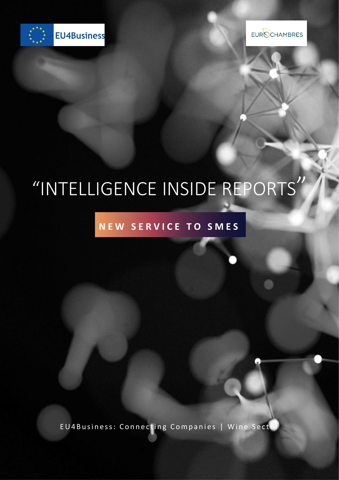

EUROCHAMBRES

# "INTELLIGENCE INSIDE REPORTS"

### NEW SERVICE TO SMES

EU4Business: Connecting Companies | Wine Secto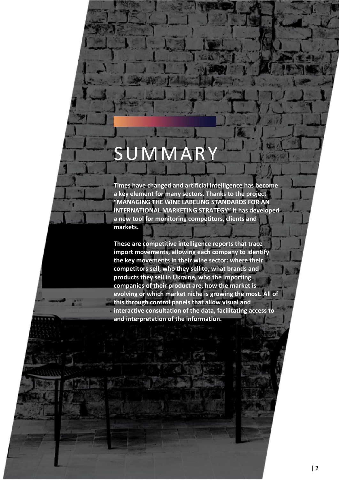## SUMMAR

**Times have changed and artificial intelligence has become a key element for many sectors. Thanks to the project "MANAGING THE WINE LABELING STANDARDS FOR AN INTERNATIONAL MARKETING STRATEGY" it has developed a new tool for monitoring competitors, clients and markets.**

**These are competitive intelligence reports that trace import movements, allowing each company to identify the key movements in their wine sector: where their competitors sell, who they sell to, what brands and products they sell in Ukraine, who the importing companies of their product are, how the market is evolving or which market niche is growing the most. All of this through control panels that allow visual and interactive consultation of the data, facilitating access to and interpretation of the information.**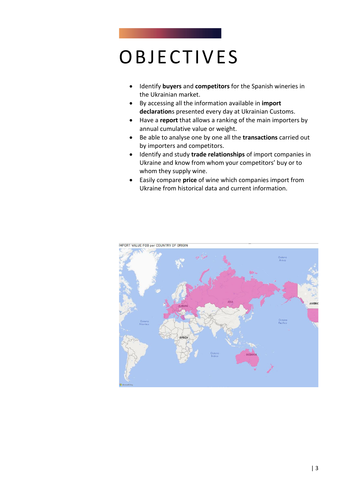### **OBJECTIVES**

- Identify **buyers** and **competitors** for the Spanish wineries in the Ukrainian market.
- By accessing all the information available in **import declaration**s presented every day at Ukrainian Customs.
- Have a **report** that allows a ranking of the main importers by annual cumulative value or weight.
- Be able to analyse one by one all the **transactions** carried out by importers and competitors.
- Identify and study **trade relationships** of import companies in Ukraine and know from whom your competitors' buy or to whom they supply wine.
- Easily compare **price** of wine which companies import from Ukraine from historical data and current information.



**IMPORT VALUE FOB por COUNTRY OF ORIGIN**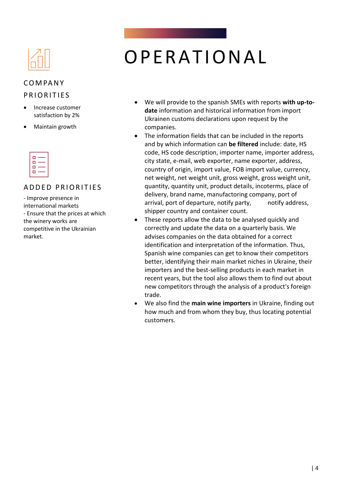#### C O M PA N Y

#### PRIORITIES

- Increase customer satisfaction by 2%
- Maintain growth

| . . | п |  |
|-----|---|--|
|     |   |  |
|     |   |  |
|     |   |  |

#### A D D F D P R I O R I T I F S

- Improve presence in international markets - Ensure that the prices at which the winery works are competitive in the Ukrainian market.

### OPERATIONAL

- We will provide to the spanish SMEs with reports **with up-todate** information and historical information from import Ukrainen customs declarations upon request by the companies.
- The information fields that can be included in the reports and by which information can **be filtered** include: date, HS code, HS code description, importer name, importer address, city state, e-mail, web exporter, name exporter, address, country of origin, import value, FOB import value, currency, net weight, net weight unit, gross weight, gross weight unit, quantity, quantity unit, product details, incoterms, place of delivery, brand name, manufactoring company, port of arrival, port of departure, notify party, notify address, shipper country and container count.
- These reports allow the data to be analysed quickly and correctly and update the data on a quarterly basis. We advises companies on the data obtained for a correct identification and interpretation of the information. Thus, Spanish wine companies can get to know their competitors better, identifying their main market niches in Ukraine, their importers and the best-selling products in each market in recent years, but the tool also allows them to find out about new competitors through the analysis of a product's foreign trade.
- We also find the **main wine importers** in Ukraine, finding out how much and from whom they buy, thus locating potential customers.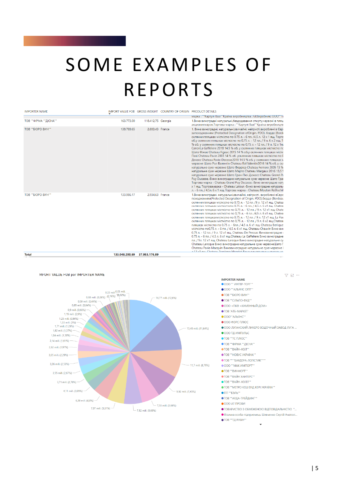### SOME EXAMPLES OF **REPORTS**

| <b>IMPORTER NAME</b>  |                |                    | IMPORT VALUE FOB GROSS WEIGHT COUNTRY OF ORIGIN PRODUCT DETAILS |                                                                                                                                                                                                                                                                                                                                                                                                                                                                                                                                                                                                                                                                                                                                                                                                                                                                                                                                                                                                                                                                                                                                                                                                                          |
|-----------------------|----------------|--------------------|-----------------------------------------------------------------|--------------------------------------------------------------------------------------------------------------------------------------------------------------------------------------------------------------------------------------------------------------------------------------------------------------------------------------------------------------------------------------------------------------------------------------------------------------------------------------------------------------------------------------------------------------------------------------------------------------------------------------------------------------------------------------------------------------------------------------------------------------------------------------------------------------------------------------------------------------------------------------------------------------------------------------------------------------------------------------------------------------------------------------------------------------------------------------------------------------------------------------------------------------------------------------------------------------------------|
|                       |                |                    |                                                                 | марка: ""Картулі Вазі""Країна виробництва: GEВиробник: ООО""Ті                                                                                                                                                                                                                                                                                                                                                                                                                                                                                                                                                                                                                                                                                                                                                                                                                                                                                                                                                                                                                                                                                                                                                           |
| ТОВ ""ФІРМА ""ДІСНА"" | 163,773.00     | 118,412,75 Georgia |                                                                 | 1. Вина виноградні натуральні, бездодавання спирту, червоні в пляц.<br>акцизнихмарок. Торгова марка: ""Картулі Вазі" "Країна виробництв                                                                                                                                                                                                                                                                                                                                                                                                                                                                                                                                                                                                                                                                                                                                                                                                                                                                                                                                                                                                                                                                                  |
| ТОВ ""БЮРО ВИН""      | 138,789.65     | 2.803.43 France    |                                                                 | 1. Вина виноградні, натуральні, звичайні, неігристі, вироблені в Євро<br>запоходженням (Protected Designation ofOrigin, PDO), бордо (Borde<br>скляннихпляшках місткістю по 0,75 л. - 6 пл. /4,5 л. 12 х 1 ящ. Торго<br>об.у склянних пляшках місткістю по 0,75 л. - 12 пл. / 9 л. 6 х 2 ящ. Т<br>% об. у склянних пляшках місткістю по 0,75 л. - 12 пл. / 9 л. 12 х 1яц<br>CanonLa Gaffeliere 2018 14,5 % об. у склянних пляшках місткістю по<br>Шато Фіжак Chateau Figeac 2015 14 % об. у склянних пляшках місткі<br>Паві Chateau Pavie 2003 14 % об. усклянних пляшках місткістю по 0<br>Декесс Chateau Pavie-Decesse2018 14,5 % об. у склянних пляшках м<br>червоне Шато Рол Валентін Chateau Rol Valentin2016 14 % об. у скл<br>натуральне сухе червоне Шато Феррієр Chateau Ferriere 2005 13 %<br>натуральне сухе червоне Шато Марго Chateau Margaux 2016 13,5 9<br>натуральне сухе червоне Шато Гран-Пюі Дюкасс Chateau Grand-Pu<br>Puy Ducasse,-Вино виноградне натуральне сухе червоне Шато Гран<br>Торгова марка - Chateau Grand Puy Ducasse,-Вино виноградне нату<br>х 1 ящ. Торговамарка - Chateau Latour,-Вино виноградне натуральн<br>л. - 6 пл. / 4,5л. 6 х 1 ящ. Торгова марка - Chateau Mouton Rothschil |
| ТОВ ""БЮРО ВИН""      | 133,986.17     | 2.934.63 France    |                                                                 | 1.Вина виноградні, натуральні, звичайні, неігристі, вироблені вЄврс<br>походженням(Protected Designation of Origin, PDO), бордо (Bordeau<br>скляннихпляшках місткістю по 0.75 л. - 12 пл. /9 л. 12 х1 ящ. Chatea<br>склянних пляшках місткістюпо 0,75 л. - 6 пл. / 4,5 л. 6 х1 ящ. Chatea<br>склянних пляшках місткістю по 0,75 л. - 12 пл. / 9 л. 12 х1 ящ. Chate<br>склянних пляшках місткістю по 0,75 л. - 6 пл. /4,5 л. 6 х1 ящ. Chatea<br>склянних пляшкахмісткістю по 0,75 л. - 12 пл. / 9 л. 12 х1 ящ. La Flet<br>склянних пляшках місткістю по 0,75 л. - 12 пл. / 9 л. 6 х2 ящ. Chateat<br>пляшках місткістю по 0,75 л. - 6пл. / 4,5 л. 6 х1 ящ. Chateau Berlique<br>місткістю по0,75 л. - 6 пл. / 4,5 л. 6 х1 ящ. Chateau Chauvin Вино вин<br>0,75 л. - 12 пл. / 9 л. 12 х1 ящ. Chateau De Pressac Виновиноградне в<br>0,75 л. - 6 пл. / 4,5 л. 6 х1 ящ. Chateau La Gaffeliere Вино виноградне<br>пл. / 9л. 12 х1 ящ. Chateau Laroque Вино виноградне натуральне су<br>Chateau Laroque Вино виноградне натуральне сухе червонеШато Г<br>Chateau Pavie-Macquin Виновиноградне натуральне сухе червоне I<br>a 12 y1 au Chatoau Tropiana Mondat Ruya puyarnaryo uangoau ug                                         |
| Total                 | 133 048 200 69 | 37 953 176 89      |                                                                 |                                                                                                                                                                                                                                                                                                                                                                                                                                                                                                                                                                                                                                                                                                                                                                                                                                                                                                                                                                                                                                                                                                                                                                                                                          |



**IMPORTER NAME** 

- OOO "" MHTEP-TOPI""
- $\bigcirc$ ООО ""АЛЬЯНС ОПТ""
- ТОВ ""БЮРО ВИН""
- ТОВ ""СІЛЬПО-ФУД""
- ООО <ПКФ <КАМЕННЫЙ ДОМ>
- TOB `ATE-MAPKET`
- $^{\circ}$ ООО""АЛЬЯНС""
- ООО ФОРС ПЛЮС
- ООО ЛУГАНСКИЙ ЛИКЕРО ВОДОЧНЫЙ ЗАВОД ЛУГА ...

 $\begin{picture}(20,20) \put(0,0){\line(1,0){15}} \put(15,0){\line(1,0){15}} \put(15,0){\line(1,0){15}} \put(15,0){\line(1,0){15}} \put(15,0){\line(1,0){15}} \put(15,0){\line(1,0){15}} \put(15,0){\line(1,0){15}} \put(15,0){\line(1,0){15}} \put(15,0){\line(1,0){15}} \put(15,0){\line(1,0){15}} \put(15,0){\line(1,0){15}} \put(15,0){\line(1$ 

- ООО ТД ИМПУЛЬС
- $\bullet$  ТОВ ""ТС ПЛЮС""
- ТОВ ""ФІРМА ""ДІСНА""
- ТОВ ""ВАЙН-ХОЛ"
- **ATOR ""HORVC VKPAÏHA""**
- ТОВ """БАЯДЕРА-ЛОГІСТИК"""
- OOO ""MAK MMTOPT"
- ТОВ ""ВИНФОРТ""
- ТОВ ""ВАЙН ХАНТЕРС""
- ТОВ ""ВАЙН-ХОЛЛ"
- ТОВ ""МЕТРО КЕШ ЕНД КЕРІ УКРАЇНА""
- •пп ""вэль""
- ТОВ ""АРДА-ТРЕЙДИНГ""
- $\bigcirc$  OOO AT ΠΡΟΦΙ
- ТОВАРИСТВО З ОБМЕЖЕНОЮ ВІДПОВІДАЛЬНІСТЮ "...
- Фізична особа-підприємець Шевченко Сергій Анатолі...
- ТОВ ""ТД РУБІН""